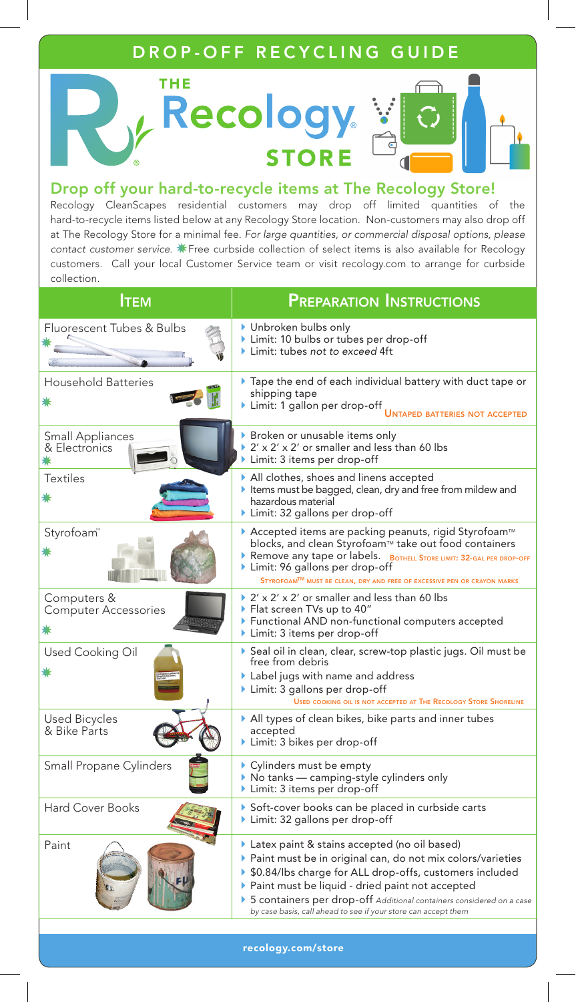## DROP-OFF RECYCLING GUIDE



#### Drop off your hard-to-recycle items at The Recology Store!

Recology CleanScapes residential customers may drop off limited quantities of the hard-to-recycle items listed below at any Recology Store location. Non-customers may also drop off at The Recology Store for a minimal fee. *For large quantities, or commercial disposal options, please*  contact customer service. **\*** Free curbside collection of select items is also available for Recology customers. Call your local Customer Service team or visit recology.com to arrange for curbside collection.

| Ітем                                       | <b>PREPARATION INSTRUCTIONS</b>                                                                                                                                                                                                                                                                                                                                            |
|--------------------------------------------|----------------------------------------------------------------------------------------------------------------------------------------------------------------------------------------------------------------------------------------------------------------------------------------------------------------------------------------------------------------------------|
| Fluorescent Tubes & Bulbs                  | ▶ Unbroken bulbs only<br>Limit: 10 bulbs or tubes per drop-off<br>Limit: tubes not to exceed 4ft                                                                                                                                                                                                                                                                           |
| <b>Household Batteries</b>                 | Tape the end of each individual battery with duct tape or<br>shipping tape<br>Limit: 1 gallon per drop-off<br><b>UNTAPED BATTERIES NOT ACCEPTED</b>                                                                                                                                                                                                                        |
| <b>Small Appliances</b><br>& Electronics   | ▶ Broken or unusable items only<br>▶ 2' x 2' x 2' or smaller and less than 60 lbs<br>Limit: 3 items per drop-off                                                                                                                                                                                                                                                           |
| <b>Textiles</b>                            | All clothes, shoes and linens accepted<br>Items must be bagged, clean, dry and free from mildew and<br>hazardous material<br>$\blacktriangleright$ Limit: 32 gallons per drop-off                                                                                                                                                                                          |
| Styrofoam™                                 | ▶ Accepted items are packing peanuts, rigid Styrofoam™<br>blocks, and clean Styrofoam™ take out food containers<br>Remove any tape or labels. BOTHELL STORE LIMIT: 32-GAL PER DROP-OFF<br>Limit: 96 gallons per drop-off<br>STYROFOAMTM MUST BE CLEAN, DRY AND FREE OF EXCESSIVE PEN OR CRAYON MARKS                                                                       |
| Computers &<br><b>Computer Accessories</b> | $\triangleright$ 2' x 2' x 2' or smaller and less than 60 lbs<br>▶ Flat screen TVs up to 40"<br>Functional AND non-functional computers accepted<br>Limit: 3 items per drop-off                                                                                                                                                                                            |
| Used Cooking Oil                           | Seal oil in clean, clear, screw-top plastic jugs. Oil must be<br>free from debris<br>Label jugs with name and address<br>$\blacktriangleright$ Limit: 3 gallons per drop-off<br>USED COOKING OIL IS NOT ACCEPTED AT THE RECOLOGY STORE SHORELINE                                                                                                                           |
| <b>Used Bicycles</b><br>& Bike Parts       | $\blacktriangleright$ All types of clean bikes, bike parts and inner tubes<br>accepted<br>Limit: 3 bikes per drop-off                                                                                                                                                                                                                                                      |
| Small Propane Cylinders                    | $\blacktriangleright$ Cylinders must be empty<br>▶ No tanks — camping-style cylinders only<br>Limit: 3 items per drop-off                                                                                                                                                                                                                                                  |
| <b>Hard Cover Books</b>                    | Soft-cover books can be placed in curbside carts<br>Limit: 32 gallons per drop-off                                                                                                                                                                                                                                                                                         |
| Paint                                      | Latex paint & stains accepted (no oil based)<br>▶ Paint must be in original can, do not mix colors/varieties<br>▶ \$0.84/lbs charge for ALL drop-offs, customers included<br>▶ Paint must be liquid - dried paint not accepted<br>> 5 containers per drop-off Additional containers considered on a case<br>by case basis, call ahead to see if your store can accept them |

recology.com/store